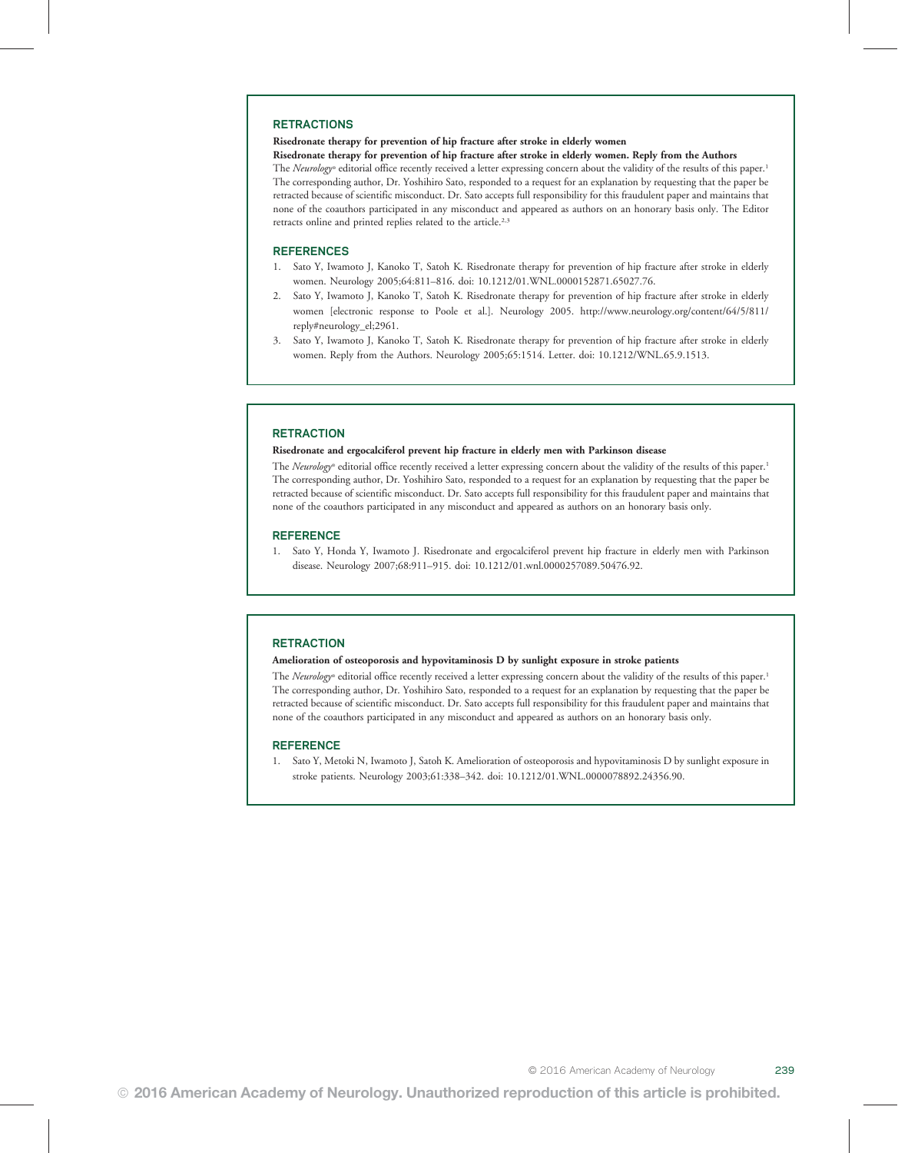#### RETRACTIONS

## Risedronate therapy for prevention of hip fracture after stroke in elderly women

Risedronate therapy for prevention of hip fracture after stroke in elderly women. Reply from the Authors

The Neurology® editorial office recently received a letter expressing concern about the validity of the results of this paper.<sup>1</sup> The corresponding author, Dr. Yoshihiro Sato, responded to a request for an explanation by requesting that the paper be retracted because of scientific misconduct. Dr. Sato accepts full responsibility for this fraudulent paper and maintains that none of the coauthors participated in any misconduct and appeared as authors on an honorary basis only. The Editor retracts online and printed replies related to the article.<sup>2,3</sup>

#### REFERENCES

- 1. Sato Y, Iwamoto J, Kanoko T, Satoh K. Risedronate therapy for prevention of hip fracture after stroke in elderly women. Neurology 2005;64:811–816. doi: 10.1212/01.WNL.0000152871.65027.76.
- 2. Sato Y, Iwamoto J, Kanoko T, Satoh K. Risedronate therapy for prevention of hip fracture after stroke in elderly women [electronic response to Poole et al.]. Neurology 2005. http://www.neurology.org/content/64/5/811/ reply#neurology\_el;2961.
- 3. Sato Y, Iwamoto J, Kanoko T, Satoh K. Risedronate therapy for prevention of hip fracture after stroke in elderly women. Reply from the Authors. Neurology 2005;65:1514. Letter. doi: 10.1212/WNL.65.9.1513.

### **RETRACTION**

#### Risedronate and ergocalciferol prevent hip fracture in elderly men with Parkinson disease

The Neurology® editorial office recently received a letter expressing concern about the validity of the results of this paper.<sup>1</sup> The corresponding author, Dr. Yoshihiro Sato, responded to a request for an explanation by requesting that the paper be retracted because of scientific misconduct. Dr. Sato accepts full responsibility for this fraudulent paper and maintains that none of the coauthors participated in any misconduct and appeared as authors on an honorary basis only.

#### **REFERENCE**

1. Sato Y, Honda Y, Iwamoto J. Risedronate and ergocalciferol prevent hip fracture in elderly men with Parkinson disease. Neurology 2007;68:911–915. doi: 10.1212/01.wnl.0000257089.50476.92.

#### **RETRACTION**

#### Amelioration of osteoporosis and hypovitaminosis D by sunlight exposure in stroke patients

The Neurology® editorial office recently received a letter expressing concern about the validity of the results of this paper.<sup>1</sup> The corresponding author, Dr. Yoshihiro Sato, responded to a request for an explanation by requesting that the paper be retracted because of scientific misconduct. Dr. Sato accepts full responsibility for this fraudulent paper and maintains that none of the coauthors participated in any misconduct and appeared as authors on an honorary basis only.

#### **REFERENCE**

1. Sato Y, Metoki N, Iwamoto J, Satoh K. Amelioration of osteoporosis and hypovitaminosis D by sunlight exposure in stroke patients. Neurology 2003;61:338–342. doi: 10.1212/01.WNL.0000078892.24356.90.